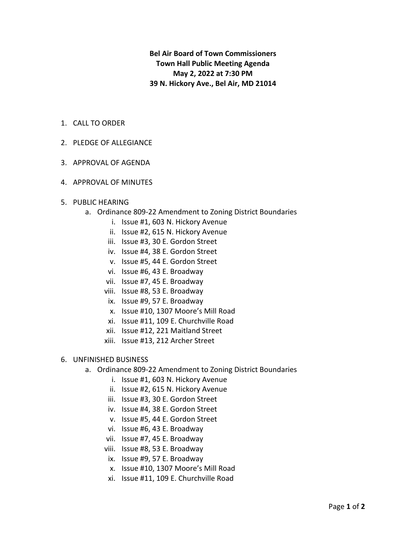**Bel Air Board of Town Commissioners Town Hall Public Meeting Agenda May 2, 2022 at 7:30 PM 39 N. Hickory Ave., Bel Air, MD 21014**

- 1. CALL TO ORDER
- 2. PLEDGE OF ALLEGIANCE
- 3. APPROVAL OF AGENDA
- 4. APPROVAL OF MINUTES
- 5. PUBLIC HEARING
	- a. Ordinance 809-22 Amendment to Zoning District Boundaries
		- i. Issue #1, 603 N. Hickory Avenue
		- ii. Issue #2, 615 N. Hickory Avenue
		- iii. Issue #3, 30 E. Gordon Street
		- iv. Issue #4, 38 E. Gordon Street
		- v. Issue #5, 44 E. Gordon Street
		- vi. Issue #6, 43 E. Broadway
		- vii. Issue #7, 45 E. Broadway
		- viii. Issue #8, 53 E. Broadway
		- ix. Issue #9, 57 E. Broadway
		- x. Issue #10, 1307 Moore's Mill Road
		- xi. Issue #11, 109 E. Churchville Road
		- xii. Issue #12, 221 Maitland Street
		- xiii. Issue #13, 212 Archer Street

## 6. UNFINISHED BUSINESS

- a. Ordinance 809-22 Amendment to Zoning District Boundaries
	- i. Issue #1, 603 N. Hickory Avenue
	- ii. Issue #2, 615 N. Hickory Avenue
	- iii. Issue #3, 30 E. Gordon Street
	- iv. Issue #4, 38 E. Gordon Street
	- v. Issue #5, 44 E. Gordon Street
	- vi. Issue #6, 43 E. Broadway
	- vii. Issue #7, 45 E. Broadway
	- viii. Issue #8, 53 E. Broadway
	- ix. Issue #9, 57 E. Broadway
	- x. Issue #10, 1307 Moore's Mill Road
	- xi. Issue #11, 109 E. Churchville Road